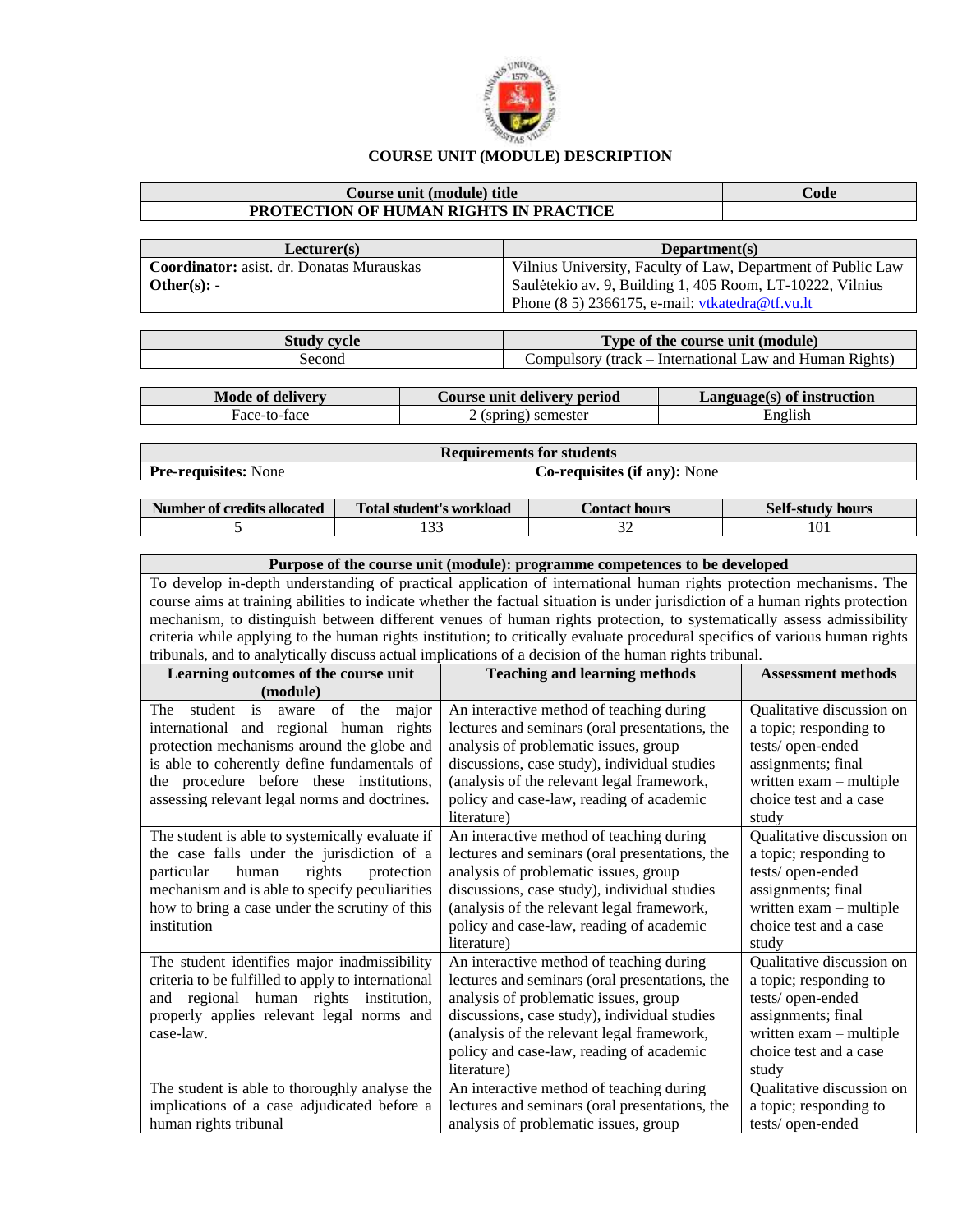

## **COURSE UNIT (MODULE) DESCRIPTION**

## **Course unit (module) title Code PROTECTION OF HUMAN RIGHTS IN PRACTICE**

| Lecturer(s)                                      | Department(s)                                                |
|--------------------------------------------------|--------------------------------------------------------------|
| <b>Coordinator:</b> asist. dr. Donatas Murauskas | Vilnius University, Faculty of Law, Department of Public Law |
| Other $(s)$ : -                                  | Saulėtekio av. 9, Building 1, 405 Room, LT-10222, Vilnius    |
|                                                  | Phone $(8\ 5)$ 2366175, e-mail: vtkatedra@tf.vu.lt           |
|                                                  |                                                              |

| Study cycle | Type of the course unit (module)                        |  |  |  |  |
|-------------|---------------------------------------------------------|--|--|--|--|
| Second      | Compulsory (track – International Law and Human Rights) |  |  |  |  |

| Mode of delivery | Course unit delivery period | $Language(s)$ of instruction |
|------------------|-----------------------------|------------------------------|
| Face-to-face     | $2$ (spring) semester       | English                      |

| Requirements for students   |                                     |  |  |  |
|-----------------------------|-------------------------------------|--|--|--|
| <b>Pre-requisites:</b> None | <b>Co-requisites (if any):</b> None |  |  |  |

| Number of credits allocated | <b>Total student's workload</b> | Contact hours | <b>Self-study hours</b> |  |  |
|-----------------------------|---------------------------------|---------------|-------------------------|--|--|
|                             | .                               | ◡             | 101                     |  |  |

| Purpose of the course unit (module): programme competences to be developed                                              |                                                                                                                                |                           |  |  |  |  |
|-------------------------------------------------------------------------------------------------------------------------|--------------------------------------------------------------------------------------------------------------------------------|---------------------------|--|--|--|--|
|                                                                                                                         | To develop in-depth understanding of practical application of international human rights protection mechanisms. The            |                           |  |  |  |  |
|                                                                                                                         | course aims at training abilities to indicate whether the factual situation is under jurisdiction of a human rights protection |                           |  |  |  |  |
|                                                                                                                         | mechanism, to distinguish between different venues of human rights protection, to systematically assess admissibility          |                           |  |  |  |  |
|                                                                                                                         | criteria while applying to the human rights institution; to critically evaluate procedural specifics of various human rights   |                           |  |  |  |  |
|                                                                                                                         | tribunals, and to analytically discuss actual implications of a decision of the human rights tribunal.                         |                           |  |  |  |  |
| Learning outcomes of the course unit                                                                                    | <b>Teaching and learning methods</b>                                                                                           | <b>Assessment methods</b> |  |  |  |  |
| (module)                                                                                                                |                                                                                                                                |                           |  |  |  |  |
| student is aware of the<br>major<br>The                                                                                 | An interactive method of teaching during                                                                                       | Qualitative discussion on |  |  |  |  |
| international and regional human rights                                                                                 | lectures and seminars (oral presentations, the                                                                                 | a topic; responding to    |  |  |  |  |
| protection mechanisms around the globe and                                                                              | analysis of problematic issues, group                                                                                          | tests/open-ended          |  |  |  |  |
| is able to coherently define fundamentals of                                                                            | discussions, case study), individual studies                                                                                   | assignments; final        |  |  |  |  |
| the procedure before these institutions,                                                                                | (analysis of the relevant legal framework,                                                                                     | written exam - multiple   |  |  |  |  |
| assessing relevant legal norms and doctrines.                                                                           | policy and case-law, reading of academic                                                                                       | choice test and a case    |  |  |  |  |
|                                                                                                                         | literature)                                                                                                                    | study                     |  |  |  |  |
| The student is able to systemically evaluate if                                                                         | An interactive method of teaching during                                                                                       | Qualitative discussion on |  |  |  |  |
| the case falls under the jurisdiction of a                                                                              | lectures and seminars (oral presentations, the                                                                                 | a topic; responding to    |  |  |  |  |
| rights<br>particular<br>human<br>protection                                                                             | analysis of problematic issues, group                                                                                          | tests/open-ended          |  |  |  |  |
| mechanism and is able to specify peculiarities                                                                          | assignments; final                                                                                                             |                           |  |  |  |  |
| how to bring a case under the scrutiny of this                                                                          | (analysis of the relevant legal framework,                                                                                     | written exam - multiple   |  |  |  |  |
| institution                                                                                                             | policy and case-law, reading of academic                                                                                       | choice test and a case    |  |  |  |  |
| literature)<br>study                                                                                                    |                                                                                                                                |                           |  |  |  |  |
| The student identifies major inadmissibility                                                                            | An interactive method of teaching during                                                                                       | Qualitative discussion on |  |  |  |  |
| criteria to be fulfilled to apply to international                                                                      | lectures and seminars (oral presentations, the                                                                                 | a topic; responding to    |  |  |  |  |
| and regional human rights institution,                                                                                  | analysis of problematic issues, group                                                                                          | tests/open-ended          |  |  |  |  |
| properly applies relevant legal norms and                                                                               | discussions, case study), individual studies                                                                                   | assignments; final        |  |  |  |  |
| case-law.                                                                                                               | (analysis of the relevant legal framework,                                                                                     | written exam - multiple   |  |  |  |  |
|                                                                                                                         | policy and case-law, reading of academic                                                                                       | choice test and a case    |  |  |  |  |
|                                                                                                                         | literature)                                                                                                                    | study                     |  |  |  |  |
| The student is able to thoroughly analyse the                                                                           | An interactive method of teaching during                                                                                       | Qualitative discussion on |  |  |  |  |
| implications of a case adjudicated before a<br>lectures and seminars (oral presentations, the<br>a topic; responding to |                                                                                                                                |                           |  |  |  |  |
| human rights tribunal<br>tests/open-ended<br>analysis of problematic issues, group                                      |                                                                                                                                |                           |  |  |  |  |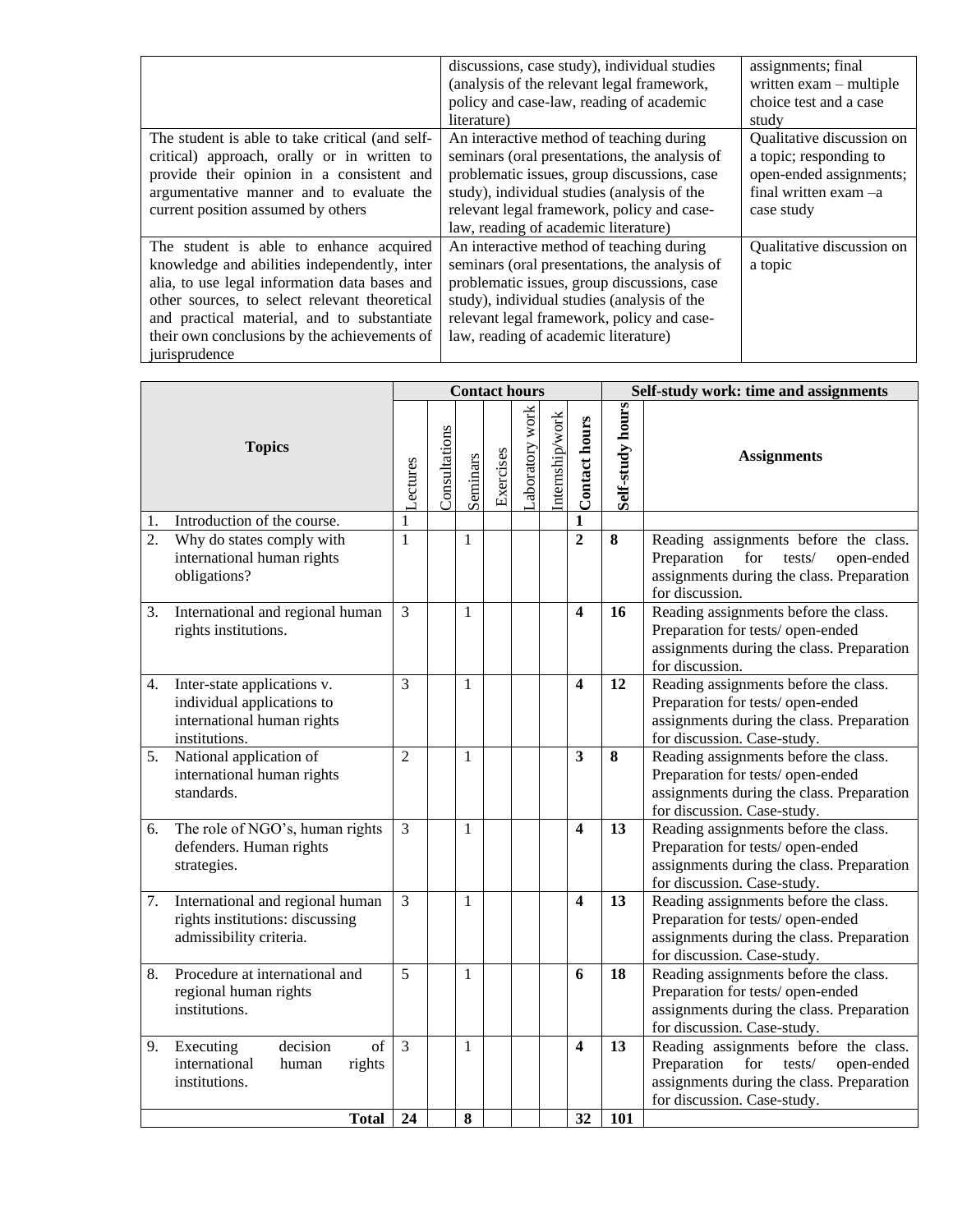|                                                 | discussions, case study), individual studies  | assignments; final        |
|-------------------------------------------------|-----------------------------------------------|---------------------------|
|                                                 | (analysis of the relevant legal framework,    | written exam - multiple   |
|                                                 | policy and case-law, reading of academic      | choice test and a case    |
|                                                 | literature)                                   | study                     |
| The student is able to take critical (and self- | An interactive method of teaching during      | Qualitative discussion on |
| critical) approach, orally or in written to     | seminars (oral presentations, the analysis of | a topic; responding to    |
| provide their opinion in a consistent and       | problematic issues, group discussions, case   | open-ended assignments;   |
| argumentative manner and to evaluate the        | study), individual studies (analysis of the   | final written exam $-a$   |
| current position assumed by others              | relevant legal framework, policy and case-    | case study                |
|                                                 | law, reading of academic literature)          |                           |
| The student is able to enhance acquired         | An interactive method of teaching during      | Qualitative discussion on |
| knowledge and abilities independently, inter    | seminars (oral presentations, the analysis of | a topic                   |
| alia, to use legal information data bases and   | problematic issues, group discussions, case   |                           |
| other sources, to select relevant theoretical   | study), individual studies (analysis of the   |                           |
| and practical material, and to substantiate     | relevant legal framework, policy and case-    |                           |
| their own conclusions by the achievements of    | law, reading of academic literature)          |                           |
| jurisprudence                                   |                                               |                           |

| <b>Topics</b>    |                                                                                                          |                | <b>Contact hours</b> |              |           |                |                 |                         | Self-study work: time and assignments |                                                                                                                                                                 |  |
|------------------|----------------------------------------------------------------------------------------------------------|----------------|----------------------|--------------|-----------|----------------|-----------------|-------------------------|---------------------------------------|-----------------------------------------------------------------------------------------------------------------------------------------------------------------|--|
|                  |                                                                                                          |                | Consultations        | Seminars     | Exercises | aboratory work | Internship/work | <b>Contact hours</b>    | Self-study hours                      | <b>Assignments</b>                                                                                                                                              |  |
| 1.               | Introduction of the course.                                                                              | 1              |                      |              |           |                |                 | $\mathbf{1}$            |                                       |                                                                                                                                                                 |  |
| $\overline{2}$ . | Why do states comply with<br>international human rights<br>obligations?                                  | 1              |                      | 1            |           |                |                 | $\overline{2}$          | $\bf{8}$                              | Reading assignments before the class.<br>Preparation<br>for<br>tests/<br>open-ended<br>assignments during the class. Preparation<br>for discussion.             |  |
| 3.               | International and regional human<br>rights institutions.                                                 | 3              |                      | 1            |           |                |                 | $\overline{\mathbf{4}}$ | 16                                    | Reading assignments before the class.<br>Preparation for tests/open-ended<br>assignments during the class. Preparation<br>for discussion.                       |  |
| 4.               | Inter-state applications v.<br>individual applications to<br>international human rights<br>institutions. | 3              |                      | 1            |           |                |                 | $\overline{\mathbf{4}}$ | 12                                    | Reading assignments before the class.<br>Preparation for tests/open-ended<br>assignments during the class. Preparation<br>for discussion. Case-study.           |  |
| 5.               | National application of<br>international human rights<br>standards.                                      | $\overline{2}$ |                      | 1            |           |                |                 | 3                       | 8                                     | Reading assignments before the class.<br>Preparation for tests/ open-ended<br>assignments during the class. Preparation<br>for discussion. Case-study.          |  |
| 6.               | The role of NGO's, human rights<br>defenders. Human rights<br>strategies.                                | 3              |                      | 1            |           |                |                 | $\overline{\mathbf{4}}$ | 13                                    | Reading assignments before the class.<br>Preparation for tests/open-ended<br>assignments during the class. Preparation<br>for discussion. Case-study.           |  |
| 7.               | International and regional human<br>rights institutions: discussing<br>admissibility criteria.           | $\overline{3}$ |                      | 1            |           |                |                 | $\overline{\mathbf{4}}$ | 13                                    | Reading assignments before the class.<br>Preparation for tests/open-ended<br>assignments during the class. Preparation<br>for discussion. Case-study.           |  |
| 8.               | Procedure at international and<br>regional human rights<br>institutions.                                 | 5              |                      | $\mathbf{1}$ |           |                |                 | 6                       | 18                                    | Reading assignments before the class.<br>Preparation for tests/open-ended<br>assignments during the class. Preparation<br>for discussion. Case-study.           |  |
| 9.               | decision<br>$\overline{of}$<br>Executing<br>international<br>human<br>rights<br>institutions.            | $\overline{3}$ |                      | 1            |           |                |                 | $\overline{\mathbf{4}}$ | $\overline{13}$                       | Reading assignments before the class.<br>Preparation<br>for<br>tests/<br>open-ended<br>assignments during the class. Preparation<br>for discussion. Case-study. |  |
|                  | <b>Total</b>                                                                                             | 24             |                      | 8            |           |                |                 | 32                      | 101                                   |                                                                                                                                                                 |  |